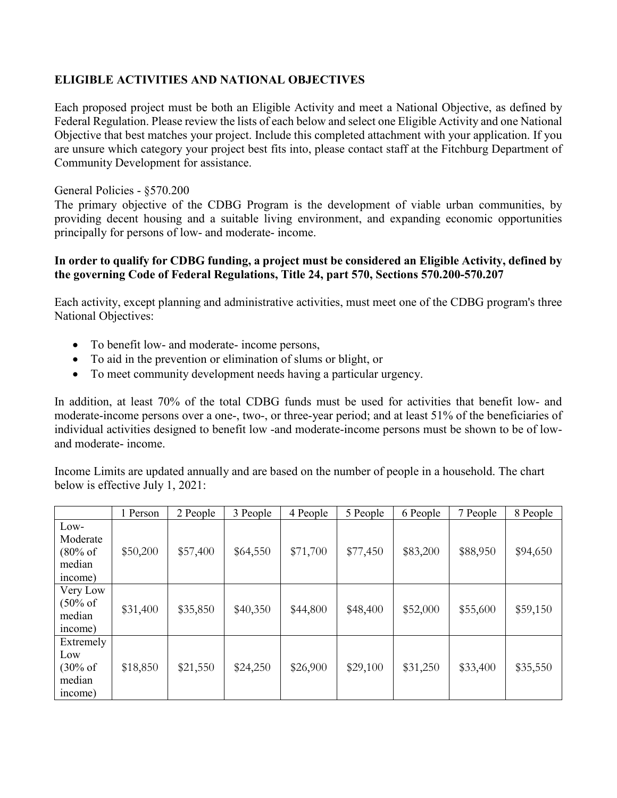# **ELIGIBLE ACTIVITIES AND NATIONAL OBJECTIVES**

Each proposed project must be both an Eligible Activity and meet a National Objective, as defined by Federal Regulation. Please review the lists of each below and select one Eligible Activity and one National Objective that best matches your project. Include this completed attachment with your application. If you are unsure which category your project best fits into, please contact staff at the Fitchburg Department of Community Development for assistance.

### General Policies - §570.200

The primary objective of the CDBG Program is the development of viable urban communities, by providing decent housing and a suitable living environment, and expanding economic opportunities principally for persons of low- and moderate- income.

### **In order to qualify for CDBG funding, a project must be considered an Eligible Activity, defined by the governing Code of Federal Regulations, Title 24, part 570, Sections 570.200-570.207**

Each activity, except planning and administrative activities, must meet one of the CDBG program's three National Objectives:

- To benefit low- and moderate- income persons,
- To aid in the prevention or elimination of slums or blight, or
- To meet community development needs having a particular urgency.

In addition, at least 70% of the total CDBG funds must be used for activities that benefit low- and moderate-income persons over a one-, two-, or three-year period; and at least 51% of the beneficiaries of individual activities designed to benefit low -and moderate-income persons must be shown to be of lowand moderate- income.

Income Limits are updated annually and are based on the number of people in a household. The chart below is effective July 1, 2021:

|                                                      | 1 Person | 2 People | 3 People | 4 People | 5 People | 6 People | 7 People | 8 People |
|------------------------------------------------------|----------|----------|----------|----------|----------|----------|----------|----------|
| Low-<br>Moderate<br>(80% of<br>median<br>income)     | \$50,200 | \$57,400 | \$64,550 | \$71,700 | \$77,450 | \$83,200 | \$88,950 | \$94,650 |
| Very Low<br>$(50\% \text{ of }$<br>median<br>income) | \$31,400 | \$35,850 | \$40,350 | \$44,800 | \$48,400 | \$52,000 | \$55,600 | \$59,150 |
| Extremely<br>Low<br>(30% of<br>median<br>income)     | \$18,850 | \$21,550 | \$24,250 | \$26,900 | \$29,100 | \$31,250 | \$33,400 | \$35,550 |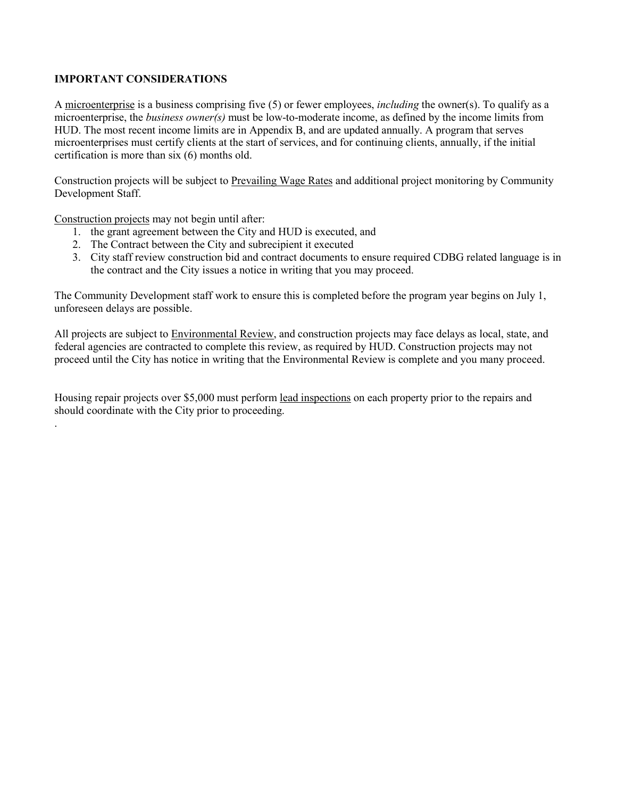#### **IMPORTANT CONSIDERATIONS**

A microenterprise is a business comprising five (5) or fewer employees, *including* the owner(s). To qualify as a microenterprise, the *business owner(s)* must be low-to-moderate income, as defined by the income limits from HUD. The most recent income limits are in Appendix B, and are updated annually. A program that serves microenterprises must certify clients at the start of services, and for continuing clients, annually, if the initial certification is more than six (6) months old.

Construction projects will be subject to Prevailing Wage Rates and additional project monitoring by Community Development Staff.

Construction projects may not begin until after:

.

- 1. the grant agreement between the City and HUD is executed, and
- 2. The Contract between the City and subrecipient it executed
- 3. City staff review construction bid and contract documents to ensure required CDBG related language is in the contract and the City issues a notice in writing that you may proceed.

The Community Development staff work to ensure this is completed before the program year begins on July 1, unforeseen delays are possible.

All projects are subject to Environmental Review, and construction projects may face delays as local, state, and federal agencies are contracted to complete this review, as required by HUD. Construction projects may not proceed until the City has notice in writing that the Environmental Review is complete and you many proceed.

Housing repair projects over \$5,000 must perform lead inspections on each property prior to the repairs and should coordinate with the City prior to proceeding.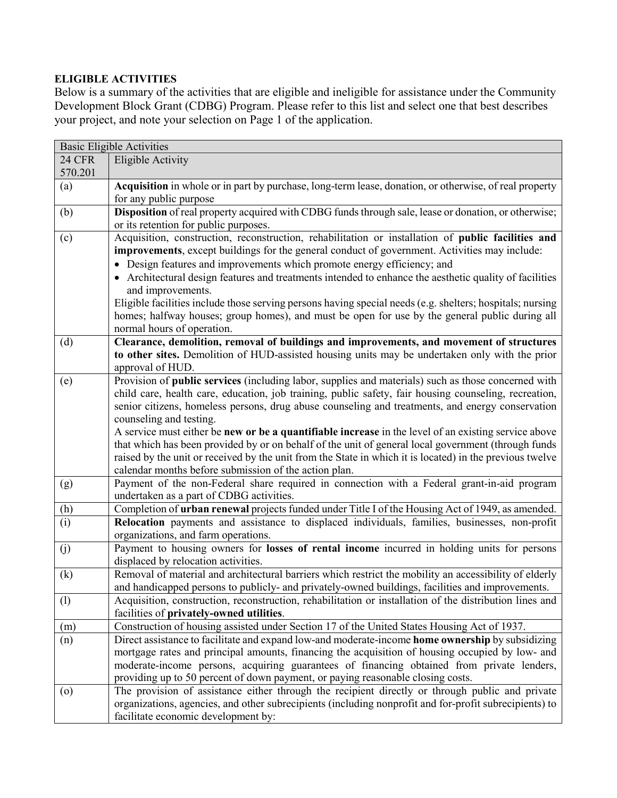# **ELIGIBLE ACTIVITIES**

Below is a summary of the activities that are eligible and ineligible for assistance under the Community Development Block Grant (CDBG) Program. Please refer to this list and select one that best describes your project, and note your selection on Page 1 of the application.

|               | <b>Basic Eligible Activities</b>                                                                                                     |
|---------------|--------------------------------------------------------------------------------------------------------------------------------------|
| <b>24 CFR</b> | <b>Eligible Activity</b>                                                                                                             |
| 570.201       |                                                                                                                                      |
| (a)           | Acquisition in whole or in part by purchase, long-term lease, donation, or otherwise, of real property                               |
|               | for any public purpose                                                                                                               |
| (b)           | Disposition of real property acquired with CDBG funds through sale, lease or donation, or otherwise;                                 |
|               | or its retention for public purposes.                                                                                                |
| (c)           | Acquisition, construction, reconstruction, rehabilitation or installation of public facilities and                                   |
|               | improvements, except buildings for the general conduct of government. Activities may include:                                        |
|               | • Design features and improvements which promote energy efficiency; and                                                              |
|               | • Architectural design features and treatments intended to enhance the aesthetic quality of facilities                               |
|               | and improvements.                                                                                                                    |
|               | Eligible facilities include those serving persons having special needs (e.g. shelters; hospitals; nursing                            |
|               | homes; halfway houses; group homes), and must be open for use by the general public during all                                       |
|               | normal hours of operation.                                                                                                           |
| (d)           | Clearance, demolition, removal of buildings and improvements, and movement of structures                                             |
|               | to other sites. Demolition of HUD-assisted housing units may be undertaken only with the prior                                       |
|               | approval of HUD.                                                                                                                     |
| (e)           | Provision of public services (including labor, supplies and materials) such as those concerned with                                  |
|               | child care, health care, education, job training, public safety, fair housing counseling, recreation,                                |
|               | senior citizens, homeless persons, drug abuse counseling and treatments, and energy conservation                                     |
|               | counseling and testing.                                                                                                              |
|               | A service must either be new or be a quantifiable increase in the level of an existing service above                                 |
|               | that which has been provided by or on behalf of the unit of general local government (through funds                                  |
|               | raised by the unit or received by the unit from the State in which it is located) in the previous twelve                             |
|               | calendar months before submission of the action plan.                                                                                |
| (g)           | Payment of the non-Federal share required in connection with a Federal grant-in-aid program                                          |
|               | undertaken as a part of CDBG activities.                                                                                             |
| (h)           | Completion of urban renewal projects funded under Title I of the Housing Act of 1949, as amended.                                    |
| (i)           | Relocation payments and assistance to displaced individuals, families, businesses, non-profit<br>organizations, and farm operations. |
| (j)           | Payment to housing owners for losses of rental income incurred in holding units for persons                                          |
|               | displaced by relocation activities.                                                                                                  |
| (k)           | Removal of material and architectural barriers which restrict the mobility an accessibility of elderly                               |
|               | and handicapped persons to publicly- and privately-owned buildings, facilities and improvements.                                     |
| (1)           | Acquisition, construction, reconstruction, rehabilitation or installation of the distribution lines and                              |
|               | facilities of privately-owned utilities.                                                                                             |
| (m)           | Construction of housing assisted under Section 17 of the United States Housing Act of 1937.                                          |
| (n)           | Direct assistance to facilitate and expand low-and moderate-income home ownership by subsidizing                                     |
|               | mortgage rates and principal amounts, financing the acquisition of housing occupied by low- and                                      |
|               | moderate-income persons, acquiring guarantees of financing obtained from private lenders,                                            |
|               | providing up to 50 percent of down payment, or paying reasonable closing costs.                                                      |
| $\circ$       | The provision of assistance either through the recipient directly or through public and private                                      |
|               | organizations, agencies, and other subrecipients (including nonprofit and for-profit subrecipients) to                               |
|               | facilitate economic development by:                                                                                                  |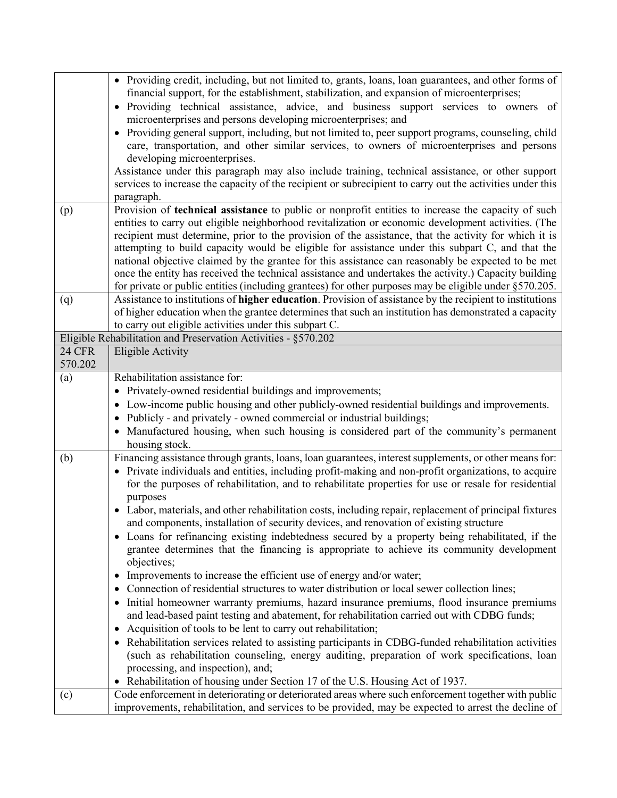|               | • Providing credit, including, but not limited to, grants, loans, loan guarantees, and other forms of                                                            |
|---------------|------------------------------------------------------------------------------------------------------------------------------------------------------------------|
|               | financial support, for the establishment, stabilization, and expansion of microenterprises;                                                                      |
|               | Providing technical assistance, advice, and business support services to owners of<br>$\bullet$<br>microenterprises and persons developing microenterprises; and |
|               | Providing general support, including, but not limited to, peer support programs, counseling, child<br>$\bullet$                                                  |
|               | care, transportation, and other similar services, to owners of microenterprises and persons                                                                      |
|               | developing microenterprises.                                                                                                                                     |
|               | Assistance under this paragraph may also include training, technical assistance, or other support                                                                |
|               | services to increase the capacity of the recipient or subrecipient to carry out the activities under this                                                        |
|               | paragraph.                                                                                                                                                       |
| (p)           | Provision of technical assistance to public or nonprofit entities to increase the capacity of such                                                               |
|               | entities to carry out eligible neighborhood revitalization or economic development activities. (The                                                              |
|               | recipient must determine, prior to the provision of the assistance, that the activity for which it is                                                            |
|               | attempting to build capacity would be eligible for assistance under this subpart C, and that the                                                                 |
|               | national objective claimed by the grantee for this assistance can reasonably be expected to be met                                                               |
|               | once the entity has received the technical assistance and undertakes the activity.) Capacity building                                                            |
|               | for private or public entities (including grantees) for other purposes may be eligible under $\S 570.205$ .                                                      |
| (q)           | Assistance to institutions of higher education. Provision of assistance by the recipient to institutions                                                         |
|               | of higher education when the grantee determines that such an institution has demonstrated a capacity                                                             |
|               | to carry out eligible activities under this subpart C.                                                                                                           |
|               | Eligible Rehabilitation and Preservation Activities - §570.202                                                                                                   |
| <b>24 CFR</b> | <b>Eligible Activity</b>                                                                                                                                         |
| 570.202       |                                                                                                                                                                  |
| (a)           | Rehabilitation assistance for:                                                                                                                                   |
|               | Privately-owned residential buildings and improvements;<br>$\bullet$                                                                                             |
|               | Low-income public housing and other publicly-owned residential buildings and improvements.<br>٠                                                                  |
|               | Publicly - and privately - owned commercial or industrial buildings;<br>$\bullet$                                                                                |
|               | Manufactured housing, when such housing is considered part of the community's permanent                                                                          |
|               | housing stock.                                                                                                                                                   |
| (b)           | Financing assistance through grants, loans, loan guarantees, interest supplements, or other means for:                                                           |
|               | • Private individuals and entities, including profit-making and non-profit organizations, to acquire                                                             |
|               | for the purposes of rehabilitation, and to rehabilitate properties for use or resale for residential                                                             |
|               | purposes                                                                                                                                                         |
|               | • Labor, materials, and other rehabilitation costs, including repair, replacement of principal fixtures                                                          |
|               | and components, installation of security devices, and renovation of existing structure                                                                           |
|               | • Loans for refinancing existing indebtedness secured by a property being rehabilitated, if the                                                                  |
|               | grantee determines that the financing is appropriate to achieve its community development                                                                        |
|               | objectives;                                                                                                                                                      |
|               | Improvements to increase the efficient use of energy and/or water;<br>$\bullet$                                                                                  |
|               | Connection of residential structures to water distribution or local sewer collection lines;                                                                      |
|               | Initial homeowner warranty premiums, hazard insurance premiums, flood insurance premiums<br>$\bullet$                                                            |
|               |                                                                                                                                                                  |
|               | and lead-based paint testing and abatement, for rehabilitation carried out with CDBG funds;<br>Acquisition of tools to be lent to carry out rehabilitation;      |
|               | $\bullet$                                                                                                                                                        |
|               | • Rehabilitation services related to assisting participants in CDBG-funded rehabilitation activities                                                             |
|               | (such as rehabilitation counseling, energy auditing, preparation of work specifications, loan                                                                    |
|               | processing, and inspection), and;                                                                                                                                |
|               | Rehabilitation of housing under Section 17 of the U.S. Housing Act of 1937.<br>٠                                                                                 |
| (c)           | Code enforcement in deteriorating or deteriorated areas where such enforcement together with public                                                              |
|               | improvements, rehabilitation, and services to be provided, may be expected to arrest the decline of                                                              |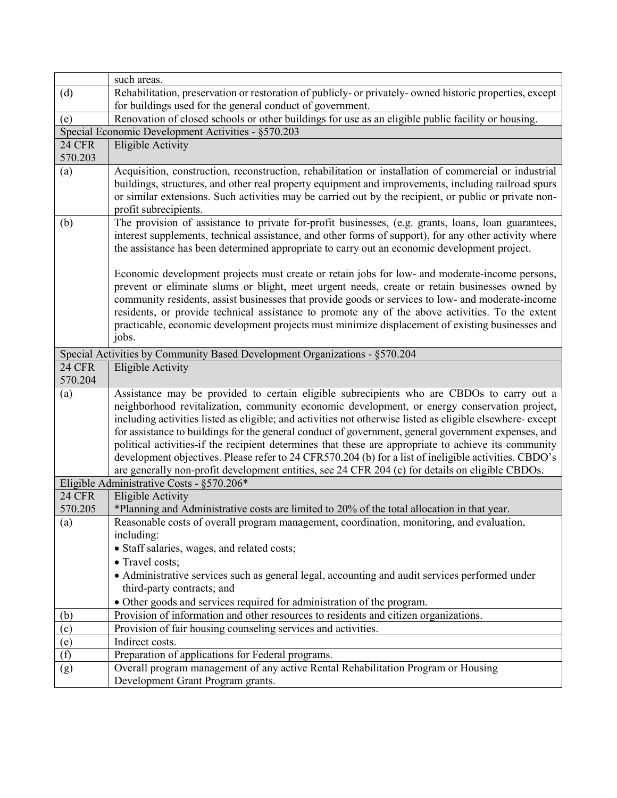|                          | such areas.                                                                                                                                                                                                                                                                                            |  |  |  |  |
|--------------------------|--------------------------------------------------------------------------------------------------------------------------------------------------------------------------------------------------------------------------------------------------------------------------------------------------------|--|--|--|--|
| (d)                      | Rehabilitation, preservation or restoration of publicly- or privately- owned historic properties, except                                                                                                                                                                                               |  |  |  |  |
|                          | for buildings used for the general conduct of government.                                                                                                                                                                                                                                              |  |  |  |  |
| (e)                      | Renovation of closed schools or other buildings for use as an eligible public facility or housing.                                                                                                                                                                                                     |  |  |  |  |
|                          | Special Economic Development Activities - §570.203                                                                                                                                                                                                                                                     |  |  |  |  |
| <b>24 CFR</b>            | <b>Eligible Activity</b>                                                                                                                                                                                                                                                                               |  |  |  |  |
| 570.203                  |                                                                                                                                                                                                                                                                                                        |  |  |  |  |
| (a)                      | Acquisition, construction, reconstruction, rehabilitation or installation of commercial or industrial<br>buildings, structures, and other real property equipment and improvements, including railroad spurs                                                                                           |  |  |  |  |
|                          | or similar extensions. Such activities may be carried out by the recipient, or public or private non-<br>profit subrecipients.                                                                                                                                                                         |  |  |  |  |
| (b)                      | The provision of assistance to private for-profit businesses, (e.g. grants, loans, loan guarantees,                                                                                                                                                                                                    |  |  |  |  |
|                          | interest supplements, technical assistance, and other forms of support), for any other activity where<br>the assistance has been determined appropriate to carry out an economic development project.                                                                                                  |  |  |  |  |
|                          | Economic development projects must create or retain jobs for low- and moderate-income persons,                                                                                                                                                                                                         |  |  |  |  |
|                          | prevent or eliminate slums or blight, meet urgent needs, create or retain businesses owned by                                                                                                                                                                                                          |  |  |  |  |
|                          | community residents, assist businesses that provide goods or services to low- and moderate-income                                                                                                                                                                                                      |  |  |  |  |
|                          | residents, or provide technical assistance to promote any of the above activities. To the extent                                                                                                                                                                                                       |  |  |  |  |
|                          | practicable, economic development projects must minimize displacement of existing businesses and<br>jobs.                                                                                                                                                                                              |  |  |  |  |
|                          |                                                                                                                                                                                                                                                                                                        |  |  |  |  |
|                          | Special Activities by Community Based Development Organizations - §570.204                                                                                                                                                                                                                             |  |  |  |  |
| <b>24 CFR</b><br>570.204 | <b>Eligible Activity</b>                                                                                                                                                                                                                                                                               |  |  |  |  |
| (a)                      | Assistance may be provided to certain eligible subrecipients who are CBDOs to carry out a<br>neighborhood revitalization, community economic development, or energy conservation project,<br>including activities listed as eligible; and activities not otherwise listed as eligible elsewhere-except |  |  |  |  |
|                          | for assistance to buildings for the general conduct of government, general government expenses, and                                                                                                                                                                                                    |  |  |  |  |
|                          | political activities-if the recipient determines that these are appropriate to achieve its community                                                                                                                                                                                                   |  |  |  |  |
|                          | development objectives. Please refer to 24 CFR570.204 (b) for a list of ineligible activities. CBDO's                                                                                                                                                                                                  |  |  |  |  |
|                          | are generally non-profit development entities, see 24 CFR 204 (c) for details on eligible CBDOs.                                                                                                                                                                                                       |  |  |  |  |
|                          | Eligible Administrative Costs - §570.206*                                                                                                                                                                                                                                                              |  |  |  |  |
| <b>24 CFR</b>            | <b>Eligible Activity</b>                                                                                                                                                                                                                                                                               |  |  |  |  |
| 570.205                  | *Planning and Administrative costs are limited to 20% of the total allocation in that year.                                                                                                                                                                                                            |  |  |  |  |
| $\left(a\right)$         | Reasonable costs of overall program management, coordination, monitoring, and evaluation,<br>including:                                                                                                                                                                                                |  |  |  |  |
|                          | · Staff salaries, wages, and related costs;                                                                                                                                                                                                                                                            |  |  |  |  |
|                          | • Travel costs;                                                                                                                                                                                                                                                                                        |  |  |  |  |
|                          | • Administrative services such as general legal, accounting and audit services performed under                                                                                                                                                                                                         |  |  |  |  |
|                          | third-party contracts; and                                                                                                                                                                                                                                                                             |  |  |  |  |
|                          | • Other goods and services required for administration of the program.                                                                                                                                                                                                                                 |  |  |  |  |
| (b)                      | Provision of information and other resources to residents and citizen organizations.                                                                                                                                                                                                                   |  |  |  |  |
| (c)                      | Provision of fair housing counseling services and activities.                                                                                                                                                                                                                                          |  |  |  |  |
| (e)                      | Indirect costs.                                                                                                                                                                                                                                                                                        |  |  |  |  |
| $\overline{f}$           | Preparation of applications for Federal programs.                                                                                                                                                                                                                                                      |  |  |  |  |
| (g)                      | Overall program management of any active Rental Rehabilitation Program or Housing                                                                                                                                                                                                                      |  |  |  |  |
|                          | Development Grant Program grants.                                                                                                                                                                                                                                                                      |  |  |  |  |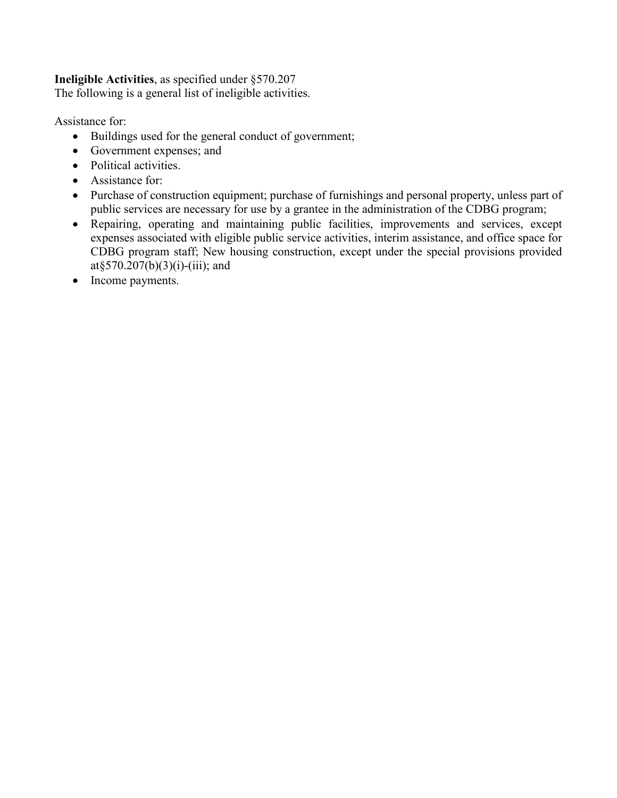### **Ineligible Activities**, as specified under §570.207

The following is a general list of ineligible activities.

Assistance for:

- Buildings used for the general conduct of government;
- Government expenses; and
- Political activities.
- Assistance for:
- Purchase of construction equipment; purchase of furnishings and personal property, unless part of public services are necessary for use by a grantee in the administration of the CDBG program;
- Repairing, operating and maintaining public facilities, improvements and services, except expenses associated with eligible public service activities, interim assistance, and office space for CDBG program staff; New housing construction, except under the special provisions provided at§570.207(b)(3)(i)-(iii); and
- Income payments.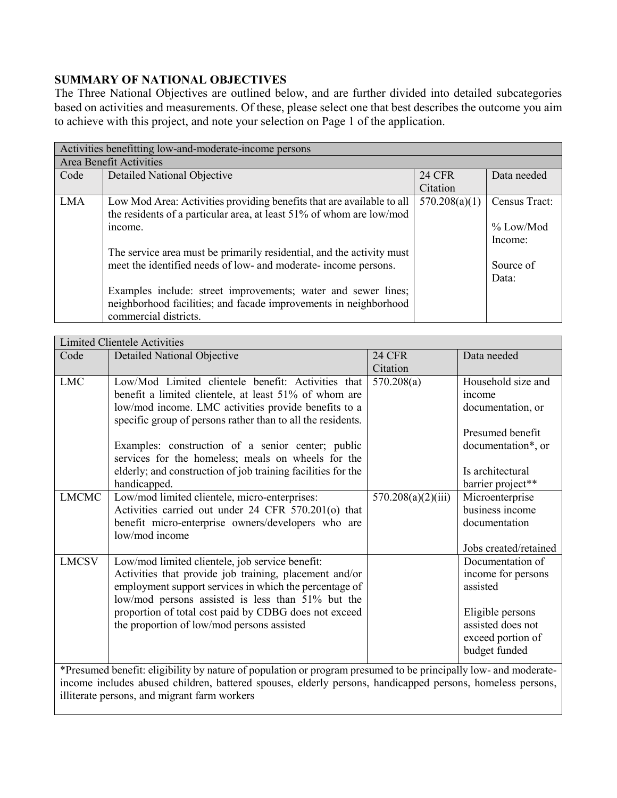# **SUMMARY OF NATIONAL OBJECTIVES**

The Three National Objectives are outlined below, and are further divided into detailed subcategories based on activities and measurements. Of these, please select one that best describes the outcome you aim to achieve with this project, and note your selection on Page 1 of the application.

|            | Activities benefitting low-and-moderate-income persons                |               |               |  |  |
|------------|-----------------------------------------------------------------------|---------------|---------------|--|--|
|            | Area Benefit Activities                                               |               |               |  |  |
| Code       | Detailed National Objective                                           | <b>24 CFR</b> | Data needed   |  |  |
|            |                                                                       | Citation      |               |  |  |
| <b>LMA</b> | Low Mod Area: Activities providing benefits that are available to all | 570.208(a)(1) | Census Tract: |  |  |
|            | the residents of a particular area, at least 51% of whom are low/mod  |               |               |  |  |
|            | income.                                                               |               | $%$ Low/Mod   |  |  |
|            |                                                                       |               | Income:       |  |  |
|            | The service area must be primarily residential, and the activity must |               |               |  |  |
|            | meet the identified needs of low- and moderate- income persons.       |               | Source of     |  |  |
|            |                                                                       |               | Data:         |  |  |
|            | Examples include: street improvements; water and sewer lines;         |               |               |  |  |
|            | neighborhood facilities; and facade improvements in neighborhood      |               |               |  |  |
|            | commercial districts.                                                 |               |               |  |  |

| <b>Limited Clientele Activities</b> |                                                                                                                 |                    |                       |  |
|-------------------------------------|-----------------------------------------------------------------------------------------------------------------|--------------------|-----------------------|--|
| Code                                | <b>Detailed National Objective</b>                                                                              | <b>24 CFR</b>      | Data needed           |  |
|                                     |                                                                                                                 | Citation           |                       |  |
| <b>LMC</b>                          | Low/Mod Limited clientele benefit: Activities that                                                              | 570.208(a)         | Household size and    |  |
|                                     | benefit a limited clientele, at least 51% of whom are                                                           |                    | income                |  |
|                                     | low/mod income. LMC activities provide benefits to a                                                            |                    | documentation, or     |  |
|                                     | specific group of persons rather than to all the residents.                                                     |                    |                       |  |
|                                     |                                                                                                                 |                    | Presumed benefit      |  |
|                                     | Examples: construction of a senior center; public                                                               |                    | documentation*, or    |  |
|                                     | services for the homeless; meals on wheels for the                                                              |                    |                       |  |
|                                     | elderly; and construction of job training facilities for the                                                    |                    | Is architectural      |  |
|                                     | handicapped.                                                                                                    |                    | barrier project**     |  |
| <b>LMCMC</b>                        | Low/mod limited clientele, micro-enterprises:                                                                   | 570.208(a)(2)(iii) | Microenterprise       |  |
|                                     | Activities carried out under 24 CFR 570.201(o) that                                                             |                    | business income       |  |
|                                     | benefit micro-enterprise owners/developers who are                                                              |                    | documentation         |  |
|                                     | low/mod income                                                                                                  |                    |                       |  |
|                                     |                                                                                                                 |                    | Jobs created/retained |  |
| <b>LMCSV</b>                        | Low/mod limited clientele, job service benefit:                                                                 |                    | Documentation of      |  |
|                                     | Activities that provide job training, placement and/or                                                          |                    | income for persons    |  |
|                                     | employment support services in which the percentage of                                                          |                    | assisted              |  |
|                                     | low/mod persons assisted is less than 51% but the                                                               |                    |                       |  |
|                                     | proportion of total cost paid by CDBG does not exceed                                                           |                    | Eligible persons      |  |
|                                     | the proportion of low/mod persons assisted                                                                      |                    | assisted does not     |  |
|                                     |                                                                                                                 |                    | exceed portion of     |  |
|                                     |                                                                                                                 |                    | budget funded         |  |
|                                     | *Presumed benefit: eligibility by nature of population or program presumed to be principally low- and moderate- |                    |                       |  |
|                                     | income includes abused children, battered spouses, elderly persons, handicapped persons, homeless persons,      |                    |                       |  |
|                                     |                                                                                                                 |                    |                       |  |

illiterate persons, and migrant farm workers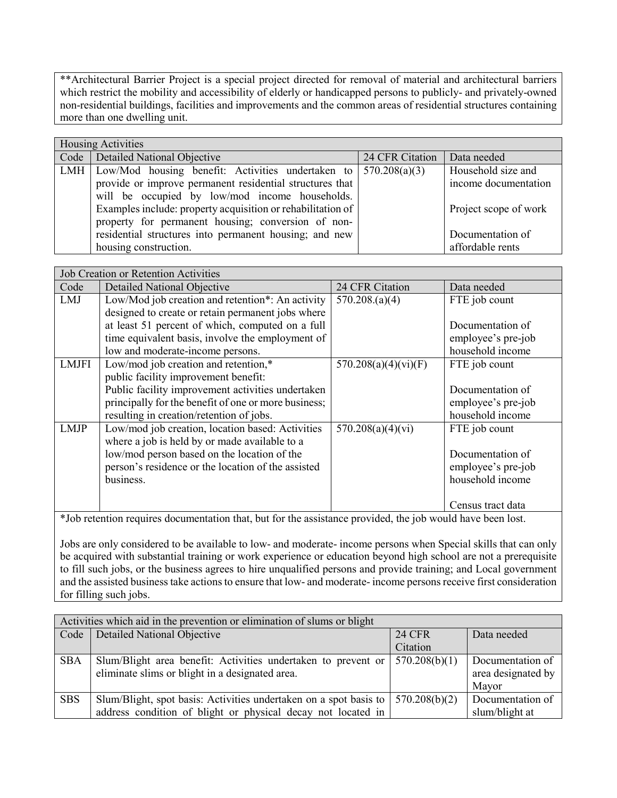\*\*Architectural Barrier Project is a special project directed for removal of material and architectural barriers which restrict the mobility and accessibility of elderly or handicapped persons to publicly- and privately-owned non-residential buildings, facilities and improvements and the common areas of residential structures containing more than one dwelling unit.

|     | <b>Housing Activities</b>                                                |                 |                       |  |  |  |
|-----|--------------------------------------------------------------------------|-----------------|-----------------------|--|--|--|
|     | Code   Detailed National Objective                                       | 24 CFR Citation | Data needed           |  |  |  |
| LMH | Low/Mod housing benefit: Activities undertaken to $\frac{570.208(a)}{3}$ |                 | Household size and    |  |  |  |
|     | provide or improve permanent residential structures that                 |                 | income documentation  |  |  |  |
|     | will be occupied by low/mod income households.                           |                 |                       |  |  |  |
|     | Examples include: property acquisition or rehabilitation of              |                 | Project scope of work |  |  |  |
|     | property for permanent housing; conversion of non-                       |                 |                       |  |  |  |
|     | residential structures into permanent housing; and new                   |                 | Documentation of      |  |  |  |
|     | housing construction.                                                    |                 | affordable rents      |  |  |  |

|              | <b>Job Creation or Retention Activities</b>          |                      |                    |  |  |
|--------------|------------------------------------------------------|----------------------|--------------------|--|--|
| Code         | <b>Detailed National Objective</b>                   | 24 CFR Citation      | Data needed        |  |  |
| LMJ          | Low/Mod job creation and retention*: An activity     | 570.208(a)(4)        | FTE job count      |  |  |
|              | designed to create or retain permanent jobs where    |                      |                    |  |  |
|              | at least 51 percent of which, computed on a full     |                      | Documentation of   |  |  |
|              | time equivalent basis, involve the employment of     |                      | employee's pre-job |  |  |
|              | low and moderate-income persons.                     |                      | household income   |  |  |
| <b>LMJFI</b> | Low/mod job creation and retention,*                 | 570.208(a)(4)(vi)(F) | FTE job count      |  |  |
|              | public facility improvement benefit:                 |                      |                    |  |  |
|              | Public facility improvement activities undertaken    |                      | Documentation of   |  |  |
|              | principally for the benefit of one or more business; |                      | employee's pre-job |  |  |
|              | resulting in creation/retention of jobs.             |                      | household income   |  |  |
| <b>LMJP</b>  | Low/mod job creation, location based: Activities     | 570.208(a)(4)(vi)    | FTE job count      |  |  |
|              | where a job is held by or made available to a        |                      |                    |  |  |
|              | low/mod person based on the location of the          |                      | Documentation of   |  |  |
|              | person's residence or the location of the assisted   |                      | employee's pre-job |  |  |
|              | business.                                            |                      | household income   |  |  |
|              |                                                      |                      |                    |  |  |
|              |                                                      |                      | Census tract data  |  |  |

\*Job retention requires documentation that, but for the assistance provided, the job would have been lost.

Jobs are only considered to be available to low- and moderate- income persons when Special skills that can only be acquired with substantial training or work experience or education beyond high school are not a prerequisite to fill such jobs, or the business agrees to hire unqualified persons and provide training; and Local government and the assisted business take actions to ensure that low- and moderate- income persons receive first consideration for filling such jobs.

|            | Activities which aid in the prevention or elimination of slums or blight |               |                    |  |  |
|------------|--------------------------------------------------------------------------|---------------|--------------------|--|--|
| Code       | <b>Detailed National Objective</b>                                       | 24 CFR        | Data needed        |  |  |
|            |                                                                          | Citation      |                    |  |  |
| <b>SBA</b> | Slum/Blight area benefit: Activities undertaken to prevent or            | 570.208(b)(1) | Documentation of   |  |  |
|            | eliminate slims or blight in a designated area.                          |               | area designated by |  |  |
|            |                                                                          |               | Mayor              |  |  |
| <b>SBS</b> | Slum/Blight, spot basis: Activities undertaken on a spot basis to        | 570.208(b)(2) | Documentation of   |  |  |
|            | address condition of blight or physical decay not located in             |               | slum/blight at     |  |  |